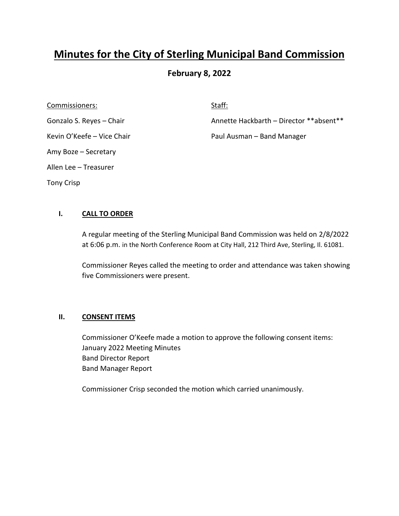# **Minutes for the City of Sterling Municipal Band Commission**

# **February 8, 2022**

Commissioners: Staff: Staff: Staff: Staff: Staff: Staff: Staff: Staff: Staff: Staff: Staff: Staff: Staff: Staff: Staff: Staff: Staff: Staff: Staff: Staff: Staff: Staff: Staff: Staff: Staff: Staff: Staff: Staff: Staff: Staf Amy Boze – Secretary Allen Lee – Treasurer Tony Crisp

Gonzalo S. Reyes – Chair **Annette Hackbarth – Director \*\*absent\*\*** 

Kevin O'Keefe – Vice Chair **Paul Ausman – Band Manager** 

# **I. CALL TO ORDER**

A regular meeting of the Sterling Municipal Band Commission was held on 2/8/2022 at 6:06 p.m. in the North Conference Room at City Hall, 212 Third Ave, Sterling, Il. 61081.

Commissioner Reyes called the meeting to order and attendance was taken showing five Commissioners were present.

## **II. CONSENT ITEMS**

Commissioner O'Keefe made a motion to approve the following consent items: January 2022 Meeting Minutes Band Director Report Band Manager Report

Commissioner Crisp seconded the motion which carried unanimously.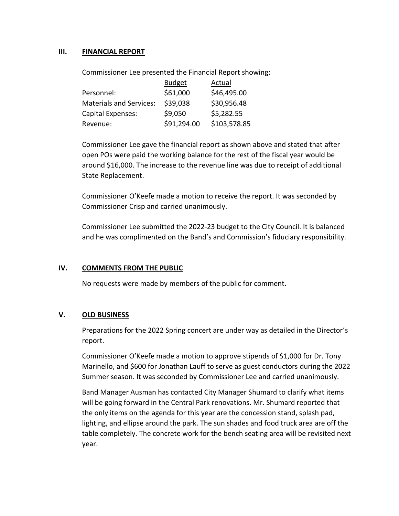## **III. FINANCIAL REPORT**

Commissioner Lee presented the Financial Report showing:

|                                | <b>Budget</b> | Actual       |
|--------------------------------|---------------|--------------|
| Personnel:                     | \$61,000      | \$46,495.00  |
| <b>Materials and Services:</b> | \$39,038      | \$30,956.48  |
| Capital Expenses:              | \$9,050       | \$5,282.55   |
| Revenue:                       | \$91,294.00   | \$103,578.85 |

Commissioner Lee gave the financial report as shown above and stated that after open POs were paid the working balance for the rest of the fiscal year would be around \$16,000. The increase to the revenue line was due to receipt of additional State Replacement.

Commissioner O'Keefe made a motion to receive the report. It was seconded by Commissioner Crisp and carried unanimously.

Commissioner Lee submitted the 2022-23 budget to the City Council. It is balanced and he was complimented on the Band's and Commission's fiduciary responsibility.

## **IV. COMMENTS FROM THE PUBLIC**

No requests were made by members of the public for comment.

## **V. OLD BUSINESS**

Preparations for the 2022 Spring concert are under way as detailed in the Director's report.

Commissioner O'Keefe made a motion to approve stipends of \$1,000 for Dr. Tony Marinello, and \$600 for Jonathan Lauff to serve as guest conductors during the 2022 Summer season. It was seconded by Commissioner Lee and carried unanimously.

Band Manager Ausman has contacted City Manager Shumard to clarify what items will be going forward in the Central Park renovations. Mr. Shumard reported that the only items on the agenda for this year are the concession stand, splash pad, lighting, and ellipse around the park. The sun shades and food truck area are off the table completely. The concrete work for the bench seating area will be revisited next year.